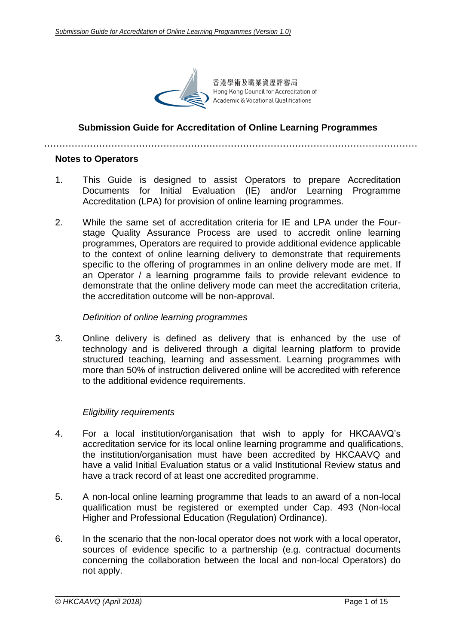

香港學術及職業資歷評審局 Hong Kong Council for Accreditation of Academic & Vocational Qualifications

## **Submission Guide for Accreditation of Online Learning Programmes**

#### **Notes to Operators**

- 1. This Guide is designed to assist Operators to prepare Accreditation Documents for Initial Evaluation (IE) and/or Learning Programme Accreditation (LPA) for provision of online learning programmes.
- 2. While the same set of accreditation criteria for IE and LPA under the Fourstage Quality Assurance Process are used to accredit online learning programmes, Operators are required to provide additional evidence applicable to the context of online learning delivery to demonstrate that requirements specific to the offering of programmes in an online delivery mode are met. If an Operator / a learning programme fails to provide relevant evidence to demonstrate that the online delivery mode can meet the accreditation criteria, the accreditation outcome will be non-approval.

#### *Definition of online learning programmes*

3. Online delivery is defined as delivery that is enhanced by the use of technology and is delivered through a digital learning platform to provide structured teaching, learning and assessment. Learning programmes with more than 50% of instruction delivered online will be accredited with reference to the additional evidence requirements.

#### *Eligibility requirements*

- 4. For a local institution/organisation that wish to apply for HKCAAVQ's accreditation service for its local online learning programme and qualifications, the institution/organisation must have been accredited by HKCAAVQ and have a valid Initial Evaluation status or a valid Institutional Review status and have a track record of at least one accredited programme.
- 5. A non-local online learning programme that leads to an award of a non-local qualification must be registered or exempted under Cap. 493 (Non-local Higher and Professional Education (Regulation) Ordinance).
- 6. In the scenario that the non-local operator does not work with a local operator, sources of evidence specific to a partnership (e.g. contractual documents concerning the collaboration between the local and non-local Operators) do not apply.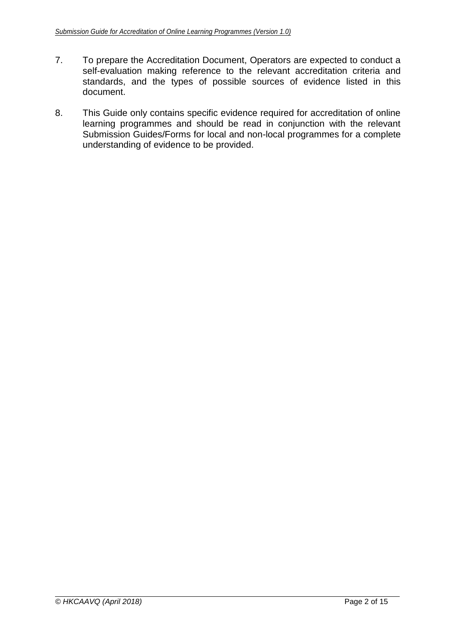- 7. To prepare the Accreditation Document, Operators are expected to conduct a self-evaluation making reference to the relevant accreditation criteria and standards, and the types of possible sources of evidence listed in this document.
- 8. This Guide only contains specific evidence required for accreditation of online learning programmes and should be read in conjunction with the relevant Submission Guides/Forms for local and non-local programmes for a complete understanding of evidence to be provided.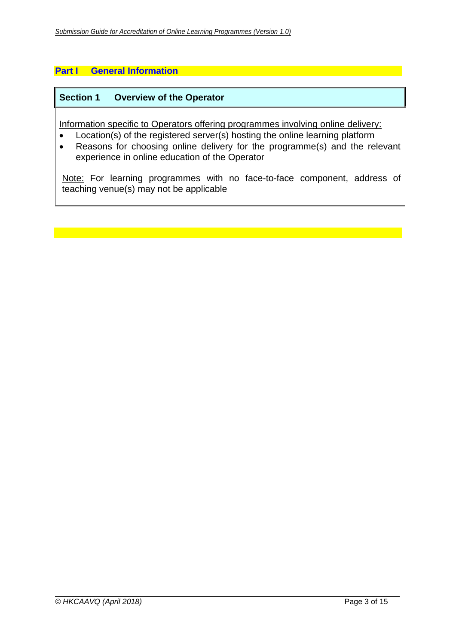## **Part I General Information**

#### **Section 1 Overview of the Operator**

Information specific to Operators offering programmes involving online delivery:

- Location(s) of the registered server(s) hosting the online learning platform
- Reasons for choosing online delivery for the programme(s) and the relevant experience in online education of the Operator

Note: For learning programmes with no face-to-face component, address of teaching venue(s) may not be applicable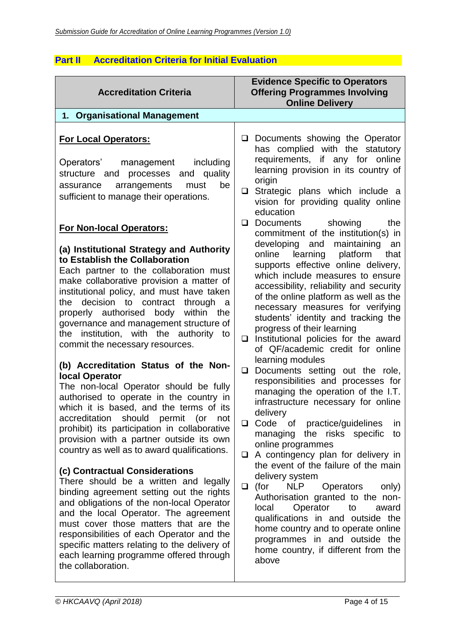# **Part II Accreditation Criteria for Initial Evaluation**

| <b>Accreditation Criteria</b>                                                                                                                                                                                                                                                                                                                                                                                                                                                                                                                                                                                                                                                            | <b>Evidence Specific to Operators</b><br><b>Offering Programmes Involving</b><br><b>Online Delivery</b>                                                                                                                                                                                                                                                                                                                                                                                                                                                                                                                                                 |
|------------------------------------------------------------------------------------------------------------------------------------------------------------------------------------------------------------------------------------------------------------------------------------------------------------------------------------------------------------------------------------------------------------------------------------------------------------------------------------------------------------------------------------------------------------------------------------------------------------------------------------------------------------------------------------------|---------------------------------------------------------------------------------------------------------------------------------------------------------------------------------------------------------------------------------------------------------------------------------------------------------------------------------------------------------------------------------------------------------------------------------------------------------------------------------------------------------------------------------------------------------------------------------------------------------------------------------------------------------|
| 1. Organisational Management                                                                                                                                                                                                                                                                                                                                                                                                                                                                                                                                                                                                                                                             |                                                                                                                                                                                                                                                                                                                                                                                                                                                                                                                                                                                                                                                         |
| <b>For Local Operators:</b><br>including<br>Operators'<br>management<br>quality<br>structure and processes<br>and<br>be<br>arrangements<br>must<br>assurance<br>sufficient to manage their operations.                                                                                                                                                                                                                                                                                                                                                                                                                                                                                   | Documents showing the Operator<br>$\Box$<br>has complied with the statutory<br>requirements, if any for online<br>learning provision in its country of<br>origin<br>Strategic plans which include a<br>$\Box$<br>vision for providing quality online<br>education                                                                                                                                                                                                                                                                                                                                                                                       |
| <b>For Non-local Operators:</b><br>(a) Institutional Strategy and Authority<br>to Establish the Collaboration<br>Each partner to the collaboration must<br>make collaborative provision a matter of<br>institutional policy, and must have taken<br>decision to contract<br>through<br>the<br>a a<br>properly authorised body within<br>the<br>governance and management structure of<br>the institution, with the authority<br>to<br>commit the necessary resources.<br>(b) Accreditation Status of the Non-<br>local Operator<br>The non-local Operator should be fully                                                                                                                | Documents showing<br>the<br>❏<br>commitment of the institution(s) in<br>developing and maintaining an<br>online<br>learning platform<br>that<br>supports effective online delivery,<br>which include measures to ensure<br>accessibility, reliability and security<br>of the online platform as well as the<br>necessary measures for verifying<br>students' identity and tracking the<br>progress of their learning<br>Institutional policies for the award<br>$\Box$<br>of QF/academic credit for online<br>learning modules<br>Documents setting out the role,<br>$\Box$<br>responsibilities and processes for<br>managing the operation of the I.T. |
| authorised to operate in the country in<br>which it is based, and the terms of its<br>accreditation should permit (or not<br>prohibit) its participation in collaborative<br>provision with a partner outside its own<br>country as well as to award qualifications.<br>(c) Contractual Considerations<br>There should be a written and legally<br>binding agreement setting out the rights<br>and obligations of the non-local Operator<br>and the local Operator. The agreement<br>must cover those matters that are the<br>responsibilities of each Operator and the<br>specific matters relating to the delivery of<br>each learning programme offered through<br>the collaboration. | infrastructure necessary for online<br>delivery<br>Code of practice/guidelines<br>❏<br>in.<br>the risks specific<br>managing<br>to<br>online programmes<br>A contingency plan for delivery in<br>$\Box$<br>the event of the failure of the main<br>delivery system<br>$\Box$<br>(for<br><b>NLP</b><br><b>Operators</b><br>only)<br>Authorisation granted to the non-<br>Operator<br>local<br>to<br>award<br>qualifications in and outside the<br>home country and to operate online<br>programmes in and outside the<br>home country, if different from the<br>above                                                                                    |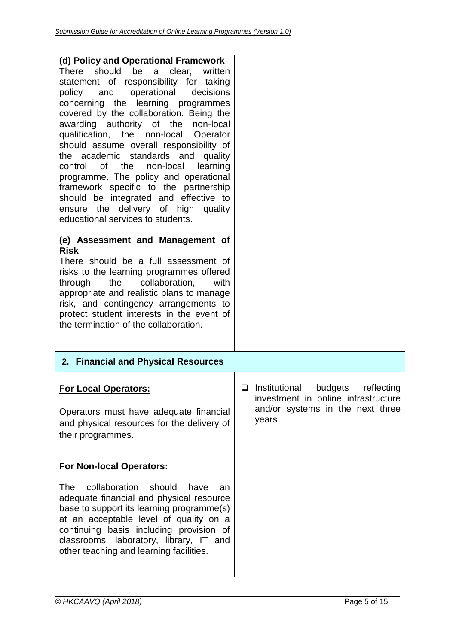| (d) Policy and Operational Framework<br>should<br>be<br>a<br>clear,<br>There<br>written<br>statement of responsibility for taking<br>operational<br>decisions<br>policy and<br>concerning the learning programmes<br>covered by the collaboration. Being the<br>awarding authority of the non-local<br>qualification, the non-local Operator<br>should assume overall responsibility of<br>the academic standards and<br>quality<br>control of the<br>non-local<br>learning<br>programme. The policy and operational<br>framework specific to the partnership<br>should be integrated and effective to<br>ensure the delivery of high quality<br>educational services to students.<br>(e) Assessment and Management of<br><b>Risk</b><br>There should be a full assessment of<br>risks to the learning programmes offered<br>the<br>collaboration,<br>with<br>through<br>appropriate and realistic plans to manage<br>risk, and contingency arrangements to<br>protect student interests in the event of<br>the termination of the collaboration. |                                                                                                                                   |
|---------------------------------------------------------------------------------------------------------------------------------------------------------------------------------------------------------------------------------------------------------------------------------------------------------------------------------------------------------------------------------------------------------------------------------------------------------------------------------------------------------------------------------------------------------------------------------------------------------------------------------------------------------------------------------------------------------------------------------------------------------------------------------------------------------------------------------------------------------------------------------------------------------------------------------------------------------------------------------------------------------------------------------------------------|-----------------------------------------------------------------------------------------------------------------------------------|
| 2. Financial and Physical Resources                                                                                                                                                                                                                                                                                                                                                                                                                                                                                                                                                                                                                                                                                                                                                                                                                                                                                                                                                                                                               |                                                                                                                                   |
| <b>For Local Operators:</b><br>Operators must have adequate financial<br>and physical resources for the delivery of<br>their programmes.                                                                                                                                                                                                                                                                                                                                                                                                                                                                                                                                                                                                                                                                                                                                                                                                                                                                                                          | $\Box$ Institutional<br>budgets<br>reflecting<br>investment in online infrastructure<br>and/or systems in the next three<br>years |
| <b>For Non-local Operators:</b><br>collaboration should<br>The<br>have<br>an<br>adequate financial and physical resource<br>base to support its learning programme(s)<br>at an acceptable level of quality on a<br>continuing basis including provision of<br>classrooms, laboratory, library, IT and<br>other teaching and learning facilities.                                                                                                                                                                                                                                                                                                                                                                                                                                                                                                                                                                                                                                                                                                  |                                                                                                                                   |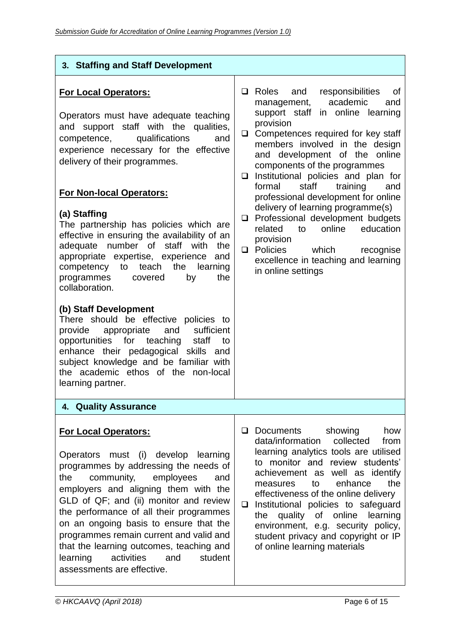| 3. Staffing and Staff Development                                                                                                                                                                                                                                                                                                                                                                                                                                                                                                                                                                                                                                                                                                                                                                                                                                                                    |                                                                                                                                                                                                                                                                                                                                                                                                                                                                                                                                                                                                                                                          |
|------------------------------------------------------------------------------------------------------------------------------------------------------------------------------------------------------------------------------------------------------------------------------------------------------------------------------------------------------------------------------------------------------------------------------------------------------------------------------------------------------------------------------------------------------------------------------------------------------------------------------------------------------------------------------------------------------------------------------------------------------------------------------------------------------------------------------------------------------------------------------------------------------|----------------------------------------------------------------------------------------------------------------------------------------------------------------------------------------------------------------------------------------------------------------------------------------------------------------------------------------------------------------------------------------------------------------------------------------------------------------------------------------------------------------------------------------------------------------------------------------------------------------------------------------------------------|
| <b>For Local Operators:</b><br>Operators must have adequate teaching<br>and support staff with the<br>qualities,<br>qualifications<br>competence,<br>and<br>experience necessary for the effective<br>delivery of their programmes.<br><b>For Non-local Operators:</b><br>(a) Staffing<br>The partnership has policies which are<br>effective in ensuring the availability of an<br>number of staff<br>adequate<br>with<br>the<br>appropriate expertise, experience<br>and<br>teach<br>the<br>competency<br>to<br>learning<br>by<br>programmes<br>covered<br>the<br>collaboration.<br>(b) Staff Development<br>There should be effective policies to<br>sufficient<br>appropriate<br>provide<br>and<br>opportunities<br>for teaching<br>staff<br>to<br>enhance their pedagogical skills<br>and<br>subject knowledge and be familiar with<br>the academic ethos of the non-local<br>learning partner. | $\Box$ Roles<br>and<br>responsibilities<br>0f<br>academic<br>management,<br>and<br>support staff in online learning<br>provision<br>Competences required for key staff<br>$\Box$<br>members involved in the design<br>and development of the online<br>components of the programmes<br>Institutional policies and plan for<br>❏<br>staff<br>training<br>formal<br>and<br>professional development for online<br>delivery of learning programme(s)<br>Professional development budgets<br>❏<br>online<br>related<br>education<br>to<br>provision<br>Policies<br>which<br>$\Box$<br>recognise<br>excellence in teaching and learning<br>in online settings |
| 4. Quality Assurance                                                                                                                                                                                                                                                                                                                                                                                                                                                                                                                                                                                                                                                                                                                                                                                                                                                                                 |                                                                                                                                                                                                                                                                                                                                                                                                                                                                                                                                                                                                                                                          |
| <b>For Local Operators:</b><br>Operators must (i) develop<br>learning<br>programmes by addressing the needs of<br>employees<br>the<br>community,<br>and<br>employers and aligning them with the<br>GLD of QF; and (ii) monitor and review<br>the performance of all their programmes<br>on an ongoing basis to ensure that the<br>programmes remain current and valid and<br>that the learning outcomes, teaching and<br>activities<br>student<br>and<br>learning<br>assessments are effective.                                                                                                                                                                                                                                                                                                                                                                                                      | Documents<br>showing<br>❏<br>how<br>data/information<br>collected<br>from<br>learning analytics tools are utilised<br>to monitor and review students'<br>achievement as well as identify<br>the<br>enhance<br>to<br>measures<br>effectiveness of the online delivery<br>Institutional policies to safeguard<br>$\Box$<br>quality of online<br>learning<br>the<br>environment, e.g. security policy,<br>student privacy and copyright or IP<br>of online learning materials                                                                                                                                                                               |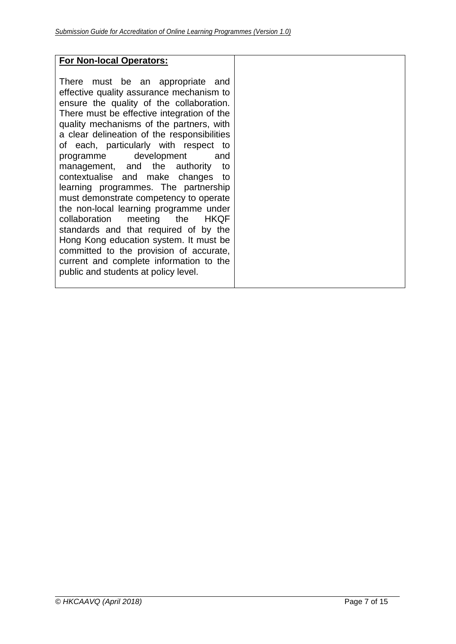## **For Non-local Operators:**

There must be an appropriate and effective quality assurance mechanism to ensure the quality of the collaboration. There must be effective integration of the quality mechanisms of the partners, with a clear delineation of the responsibilities of each, particularly with respect to programme development and management, and the authority to contextualise and make changes to learning programmes. The partnership must demonstrate competency to operate the non-local learning programme under collaboration meeting the HKQF standards and that required of by the Hong Kong education system. It must be committed to the provision of accurate, current and complete information to the public and students at policy level.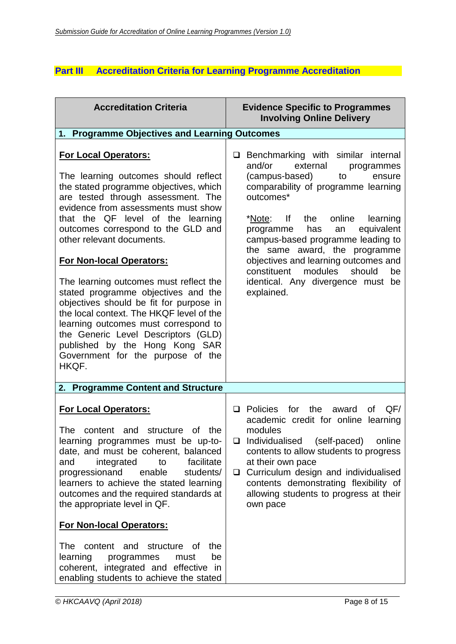## **Part III Accreditation Criteria for Learning Programme Accreditation**

| <b>Evidence Specific to Programmes</b><br><b>Involving Online Delivery</b>                                                                                                                                                                                                                                                                                                                                                                                      |
|-----------------------------------------------------------------------------------------------------------------------------------------------------------------------------------------------------------------------------------------------------------------------------------------------------------------------------------------------------------------------------------------------------------------------------------------------------------------|
| 1. Programme Objectives and Learning Outcomes                                                                                                                                                                                                                                                                                                                                                                                                                   |
| Benchmarking with similar internal<br>and/or<br>external<br>programmes<br>(campus-based)<br>to<br>ensure<br>comparability of programme learning<br>outcomes*<br>* <u>Note</u> : If the<br>online<br>learning<br>equivalent<br>programme<br>has<br>an<br>campus-based programme leading to<br>the same award, the programme<br>objectives and learning outcomes and<br>constituent<br>modules<br>should<br>be<br>identical. Any divergence must be<br>explained. |
|                                                                                                                                                                                                                                                                                                                                                                                                                                                                 |
| Policies<br>the<br>QF/<br>for<br>οf<br>◻<br>award<br>academic credit for online learning<br>modules<br>(self-paced)<br>Individualised<br>online<br>❏<br>contents to allow students to progress<br>at their own pace<br>Curriculum design and individualised<br>$\Box$<br>contents demonstrating flexibility of<br>allowing students to progress at their<br>own pace                                                                                            |
|                                                                                                                                                                                                                                                                                                                                                                                                                                                                 |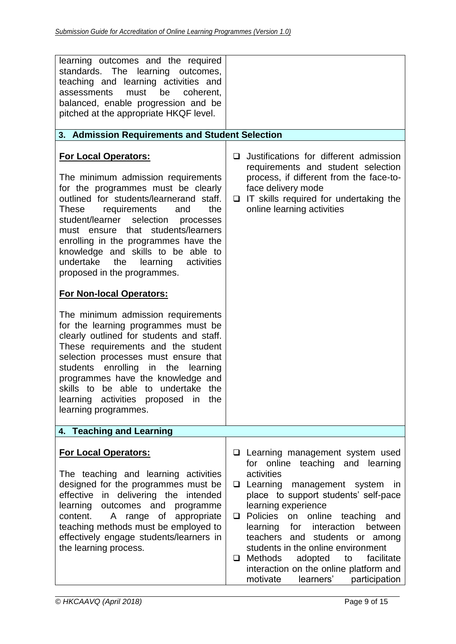| IT skills required for undertaking the<br>❏<br>online learning activities                                                                                                                                                                                                                                                                                                                                                                                         |
|-------------------------------------------------------------------------------------------------------------------------------------------------------------------------------------------------------------------------------------------------------------------------------------------------------------------------------------------------------------------------------------------------------------------------------------------------------------------|
|                                                                                                                                                                                                                                                                                                                                                                                                                                                                   |
| <b>Q</b> Learning management system used<br>for online teaching and learning<br>activities<br>□ Learning management system<br>in<br>place to support students' self-pace<br>learning experience<br>Policies<br>on online teaching and<br>□<br>learning<br>for interaction<br>between<br>teachers and students or among<br>students in the online environment<br><b>Methods</b><br>adopted<br>facilitate<br>to<br>$\Box$<br>interaction on the online platform and |
|                                                                                                                                                                                                                                                                                                                                                                                                                                                                   |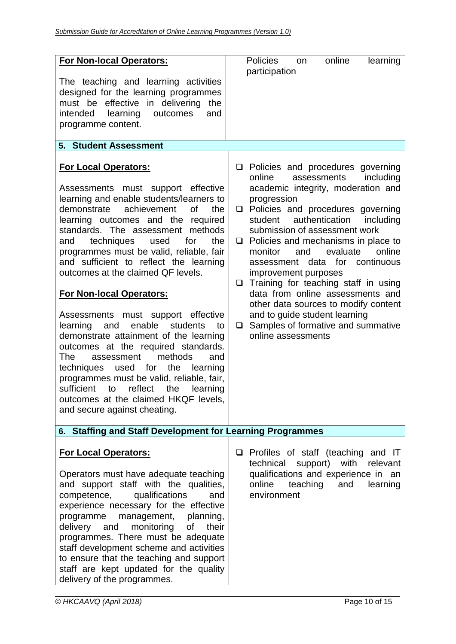| <b>For Non-local Operators:</b><br>The teaching and learning activities<br>designed for the learning programmes<br>must be effective in delivering<br>the<br>learning<br>outcomes<br>intended<br>and<br>programme content.                                                                                                                                                                                                                                                                                                                                                                                                                                                                                                                                                                                                                                                         | <b>Policies</b><br>online<br>learning<br>on<br>participation                                                                                                                                                                                                                                                                                                                                                                                                                                                                                                                                                                            |
|------------------------------------------------------------------------------------------------------------------------------------------------------------------------------------------------------------------------------------------------------------------------------------------------------------------------------------------------------------------------------------------------------------------------------------------------------------------------------------------------------------------------------------------------------------------------------------------------------------------------------------------------------------------------------------------------------------------------------------------------------------------------------------------------------------------------------------------------------------------------------------|-----------------------------------------------------------------------------------------------------------------------------------------------------------------------------------------------------------------------------------------------------------------------------------------------------------------------------------------------------------------------------------------------------------------------------------------------------------------------------------------------------------------------------------------------------------------------------------------------------------------------------------------|
| <b>5. Student Assessment</b>                                                                                                                                                                                                                                                                                                                                                                                                                                                                                                                                                                                                                                                                                                                                                                                                                                                       |                                                                                                                                                                                                                                                                                                                                                                                                                                                                                                                                                                                                                                         |
| <b>For Local Operators:</b><br>Assessments must support effective<br>learning and enable students/learners to<br>achievement<br><b>of</b><br>the<br>demonstrate<br>learning outcomes and the required<br>standards. The assessment methods<br>for<br>the<br>techniques<br>used<br>and<br>programmes must be valid, reliable, fair<br>and sufficient to reflect the learning<br>outcomes at the claimed QF levels.<br><b>For Non-local Operators:</b><br>Assessments must support effective<br>enable<br>students<br>learning<br>and<br>to<br>demonstrate attainment of the learning<br>outcomes at the required standards.<br>methods<br>The<br>and<br>assessment<br>techniques used for<br>the<br>learning<br>programmes must be valid, reliable, fair,<br>sufficient<br>reflect<br>the<br>to<br>learning<br>outcomes at the claimed HKQF levels,<br>and secure against cheating. | $\Box$ Policies and procedures governing<br>online<br>assessments<br>including<br>academic integrity, moderation and<br>progression<br>□ Policies and procedures governing<br>authentication<br>student<br>including<br>submission of assessment work<br>$\Box$ Policies and mechanisms in place to<br>evaluate<br>monitor<br>and<br>online<br>assessment data for continuous<br>improvement purposes<br>$\Box$ Training for teaching staff in using<br>data from online assessments and<br>other data sources to modify content<br>and to guide student learning<br>Samples of formative and summative<br>$\Box$<br>online assessments |
| 6. Staffing and Staff Development for Learning Programmes                                                                                                                                                                                                                                                                                                                                                                                                                                                                                                                                                                                                                                                                                                                                                                                                                          |                                                                                                                                                                                                                                                                                                                                                                                                                                                                                                                                                                                                                                         |
| <b>For Local Operators:</b><br>Operators must have adequate teaching<br>and support staff with the qualities,<br>competence,<br>qualifications<br>and<br>experience necessary for the effective<br>programme<br>management,<br>planning,<br>monitoring<br>delivery<br>of<br>their<br>and<br>programmes. There must be adequate<br>staff development scheme and activities<br>to ensure that the teaching and support<br>staff are kept updated for the quality<br>delivery of the programmes.                                                                                                                                                                                                                                                                                                                                                                                      | $\Box$ Profiles of staff (teaching and IT<br>technical<br>with<br>support)<br>relevant<br>qualifications and experience in an<br>online<br>teaching<br>and<br>learning<br>environment                                                                                                                                                                                                                                                                                                                                                                                                                                                   |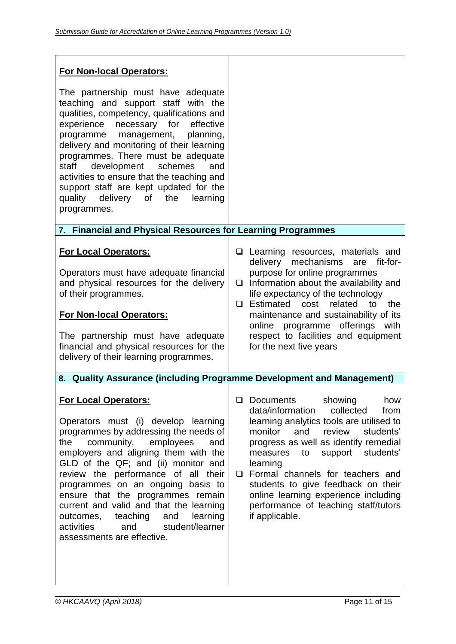| <b>For Non-local Operators:</b>                                                                                                                                                                                                                                                                                                                                                                                                                                                                                   |                                                                                                                                                                                                                                                                                                                                                                                                                                                            |
|-------------------------------------------------------------------------------------------------------------------------------------------------------------------------------------------------------------------------------------------------------------------------------------------------------------------------------------------------------------------------------------------------------------------------------------------------------------------------------------------------------------------|------------------------------------------------------------------------------------------------------------------------------------------------------------------------------------------------------------------------------------------------------------------------------------------------------------------------------------------------------------------------------------------------------------------------------------------------------------|
| The partnership must have adequate<br>teaching and support staff with the<br>qualities, competency, qualifications and<br>experience necessary for<br>effective<br>programme management,<br>planning,<br>delivery and monitoring of their learning<br>programmes. There must be adequate<br>development<br>staff<br>schemes<br>and<br>activities to ensure that the teaching and<br>support staff are kept updated for the<br>quality delivery of the<br>learning<br>programmes.                                  |                                                                                                                                                                                                                                                                                                                                                                                                                                                            |
| 7. Financial and Physical Resources for Learning Programmes                                                                                                                                                                                                                                                                                                                                                                                                                                                       |                                                                                                                                                                                                                                                                                                                                                                                                                                                            |
| <b>For Local Operators:</b><br>Operators must have adequate financial<br>and physical resources for the delivery<br>of their programmes.<br><b>For Non-local Operators:</b><br>The partnership must have adequate<br>financial and physical resources for the<br>delivery of their learning programmes.                                                                                                                                                                                                           | $\Box$ Learning resources, materials and<br>delivery mechanisms<br>are fit-for-<br>purpose for online programmes<br>$\Box$ Information about the availability and<br>life expectancy of the technology<br>$\Box$ Estimated cost<br>related<br>the<br>to<br>maintenance and sustainability of its<br>online<br>programme offerings<br>with<br>respect to facilities and equipment<br>for the next five years                                                |
| 8.                                                                                                                                                                                                                                                                                                                                                                                                                                                                                                                | <b>Quality Assurance (including Programme Development and Management)</b>                                                                                                                                                                                                                                                                                                                                                                                  |
| <b>For Local Operators:</b><br>Operators must (i) develop learning<br>programmes by addressing the needs of<br>employees<br>the<br>community,<br>and<br>employers and aligning them with the<br>GLD of the QF; and (ii) monitor and<br>review the performance of all their<br>programmes on an ongoing basis to<br>ensure that the programmes remain<br>current and valid and that the learning<br>teaching<br>and<br>learning<br>outcomes,<br>student/learner<br>activities<br>and<br>assessments are effective. | $\Box$<br><b>Documents</b><br>showing<br>how<br>data/information<br>collected<br>from<br>learning analytics tools are utilised to<br>monitor<br>and<br>review<br>students'<br>progress as well as identify remedial<br>students'<br>measures<br>support<br>to<br>learning<br>Formal channels for teachers and<br>❏<br>students to give feedback on their<br>online learning experience including<br>performance of teaching staff/tutors<br>if applicable. |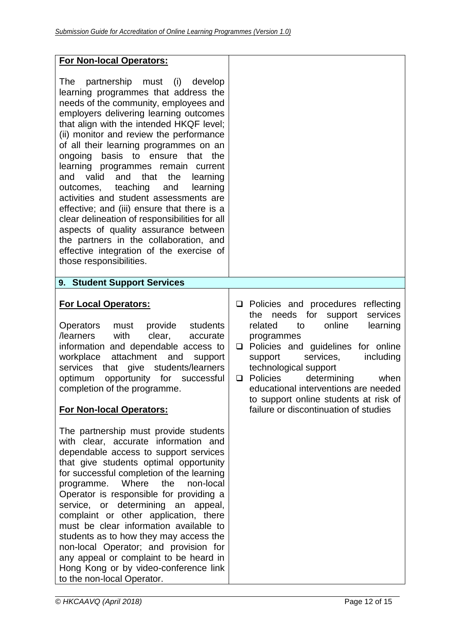| <b>For Non-local Operators:</b>                                                                                                                                                                                                                                                                                                                                                                                                                                                                                                                                                                                                                                                                                                                                               |                                                                                                                                                                                                                                                                                                                                                                                                                 |
|-------------------------------------------------------------------------------------------------------------------------------------------------------------------------------------------------------------------------------------------------------------------------------------------------------------------------------------------------------------------------------------------------------------------------------------------------------------------------------------------------------------------------------------------------------------------------------------------------------------------------------------------------------------------------------------------------------------------------------------------------------------------------------|-----------------------------------------------------------------------------------------------------------------------------------------------------------------------------------------------------------------------------------------------------------------------------------------------------------------------------------------------------------------------------------------------------------------|
| The<br>partnership must (i)<br>develop<br>learning programmes that address the<br>needs of the community, employees and<br>employers delivering learning outcomes<br>that align with the intended HKQF level;<br>(ii) monitor and review the performance<br>of all their learning programmes on an<br>basis to ensure that the<br>ongoing<br>learning programmes remain current<br>and<br>that<br>the<br>and<br>valid<br>learning<br>outcomes, teaching<br>and<br>learning<br>activities and student assessments are<br>effective; and (iii) ensure that there is a<br>clear delineation of responsibilities for all<br>aspects of quality assurance between<br>the partners in the collaboration, and<br>effective integration of the exercise of<br>those responsibilities. |                                                                                                                                                                                                                                                                                                                                                                                                                 |
| 9. Student Support Services                                                                                                                                                                                                                                                                                                                                                                                                                                                                                                                                                                                                                                                                                                                                                   |                                                                                                                                                                                                                                                                                                                                                                                                                 |
| <b>For Local Operators:</b><br>provide<br>Operators<br>must<br>students<br>with<br>clear,<br>/learners<br>accurate<br>information and dependable access to<br>workplace<br>attachment<br>and<br>support<br>that give students/learners<br>services<br>optimum<br>opportunity for successful<br>completion of the programme.<br><b>For Non-local Operators:</b>                                                                                                                                                                                                                                                                                                                                                                                                                | Policies and procedures reflecting<br>❏<br>needs for support<br>services<br>the<br>online<br>related<br>learning<br>to<br>programmes<br>Policies and guidelines for online<br>□<br>including<br>support<br>services,<br>technological support<br>Policies<br>determining<br>when<br>❏<br>educational interventions are needed<br>to support online students at risk of<br>failure or discontinuation of studies |
| The partnership must provide students<br>with clear, accurate information and<br>dependable access to support services<br>that give students optimal opportunity<br>for successful completion of the learning<br>Where<br>the<br>non-local<br>programme.<br>Operator is responsible for providing a<br>service, or determining an appeal,<br>complaint or other application, there<br>must be clear information available to<br>students as to how they may access the<br>non-local Operator; and provision for<br>any appeal or complaint to be heard in<br>Hong Kong or by video-conference link<br>to the non-local Operator.                                                                                                                                              |                                                                                                                                                                                                                                                                                                                                                                                                                 |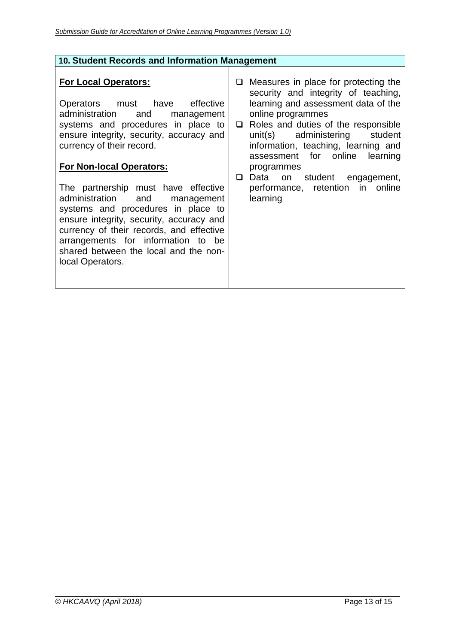| 10. Student Records and Information Management                                                                                                                                                                                                                                                                                                                                                                                                                                                                                                                 |                                                                                                                                                                                                                                                                                                                                                                                                        |
|----------------------------------------------------------------------------------------------------------------------------------------------------------------------------------------------------------------------------------------------------------------------------------------------------------------------------------------------------------------------------------------------------------------------------------------------------------------------------------------------------------------------------------------------------------------|--------------------------------------------------------------------------------------------------------------------------------------------------------------------------------------------------------------------------------------------------------------------------------------------------------------------------------------------------------------------------------------------------------|
| <b>For Local Operators:</b><br>Operators must have effective<br>administration and<br>management<br>systems and procedures in place to<br>ensure integrity, security, accuracy and<br>currency of their record.<br><b>For Non-local Operators:</b><br>The partnership must have effective<br>administration and<br>management<br>systems and procedures in place to<br>ensure integrity, security, accuracy and<br>currency of their records, and effective<br>arrangements for information to be<br>shared between the local and the non-<br>local Operators. | $\Box$ Measures in place for protecting the<br>security and integrity of teaching,<br>learning and assessment data of the<br>online programmes<br>$\Box$ Roles and duties of the responsible<br>unit(s) administering<br>student<br>information, teaching, learning and<br>assessment for online learning<br>programmes<br>Data on student engagement,<br>performance, retention in online<br>learning |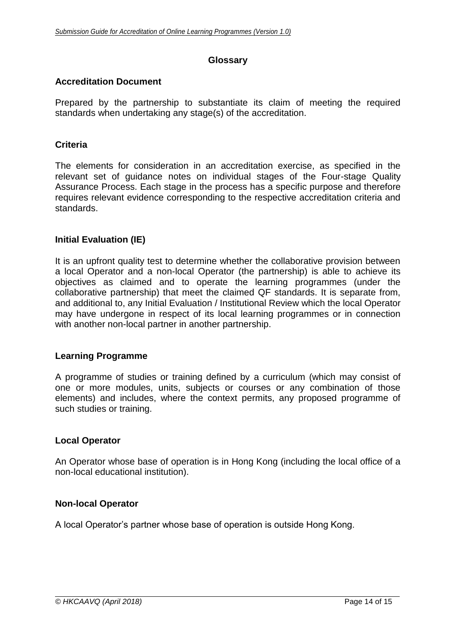## **Glossary**

## **Accreditation Document**

Prepared by the partnership to substantiate its claim of meeting the required standards when undertaking any stage(s) of the accreditation.

## **Criteria**

The elements for consideration in an accreditation exercise, as specified in the relevant set of guidance notes on individual stages of the Four-stage Quality Assurance Process. Each stage in the process has a specific purpose and therefore requires relevant evidence corresponding to the respective accreditation criteria and standards.

## **Initial Evaluation (IE)**

It is an upfront quality test to determine whether the collaborative provision between a local Operator and a non-local Operator (the partnership) is able to achieve its objectives as claimed and to operate the learning programmes (under the collaborative partnership) that meet the claimed QF standards. It is separate from, and additional to, any Initial Evaluation / Institutional Review which the local Operator may have undergone in respect of its local learning programmes or in connection with another non-local partner in another partnership.

#### **Learning Programme**

A programme of studies or training defined by a curriculum (which may consist of one or more modules, units, subjects or courses or any combination of those elements) and includes, where the context permits, any proposed programme of such studies or training.

#### **Local Operator**

An Operator whose base of operation is in Hong Kong (including the local office of a non-local educational institution).

## **Non-local Operator**

A local Operator's partner whose base of operation is outside Hong Kong.